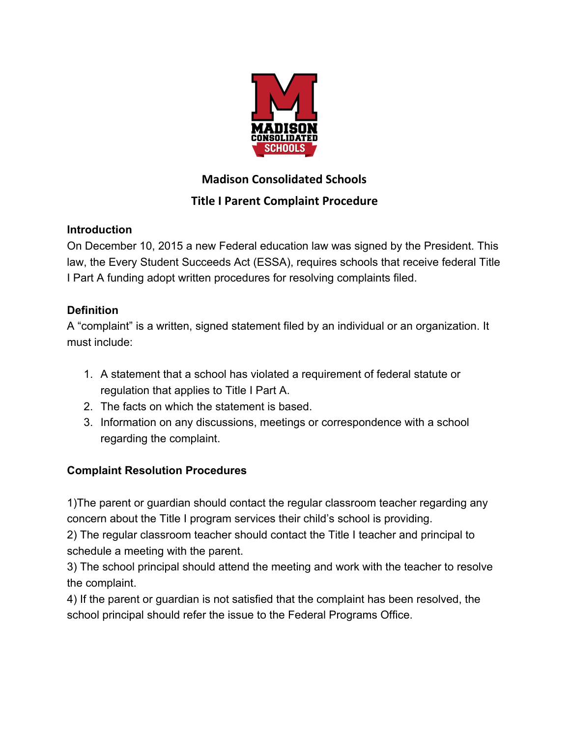

## **Madison Consolidated Schools**

# **Title I Parent Complaint Procedure**

#### **Introduction**

On December 10, 2015 a new Federal education law was signed by the President. This law, the Every Student Succeeds Act (ESSA), requires schools that receive federal Title I Part A funding adopt written procedures for resolving complaints filed.

## **Definition**

A "complaint" is a written, signed statement filed by an individual or an organization. It must include:

- 1. A statement that a school has violated a requirement of federal statute or regulation that applies to Title I Part A.
- 2. The facts on which the statement is based.
- 3. Information on any discussions, meetings or correspondence with a school regarding the complaint.

## **Complaint Resolution Procedures**

1)The parent or guardian should contact the regular classroom teacher regarding any concern about the Title I program services their child's school is providing.

2) The regular classroom teacher should contact the Title I teacher and principal to schedule a meeting with the parent.

3) The school principal should attend the meeting and work with the teacher to resolve the complaint.

4) If the parent or guardian is not satisfied that the complaint has been resolved, the school principal should refer the issue to the Federal Programs Office.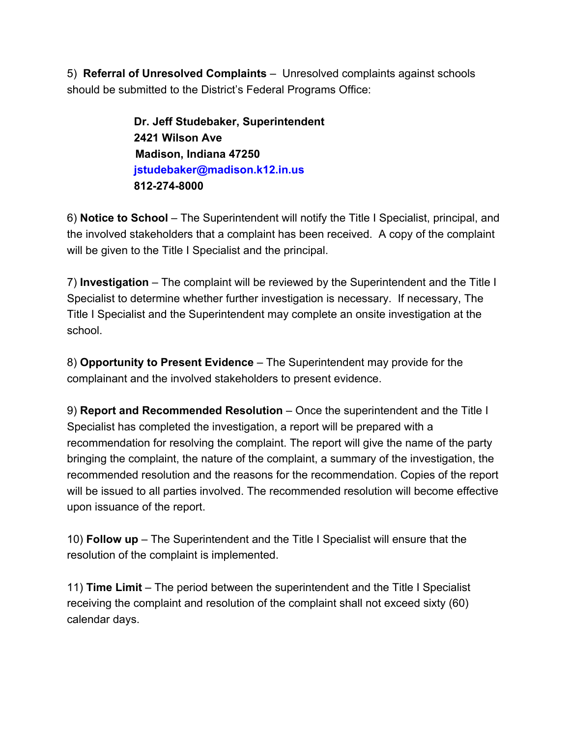5) **Referral of Unresolved Complaints** – Unresolved complaints against schools should be submitted to the District's Federal Programs Office:

> **Dr. Jeff Studebaker, Superintendent 2421 Wilson Ave Madison, Indiana 47250 jstudebaker@madison.k12.in.us 812-274-8000**

6) **Notice to School** – The Superintendent will notify the Title I Specialist, principal, and the involved stakeholders that a complaint has been received. A copy of the complaint will be given to the Title I Specialist and the principal.

7) **Investigation** – The complaint will be reviewed by the Superintendent and the Title I Specialist to determine whether further investigation is necessary. If necessary, The Title I Specialist and the Superintendent may complete an onsite investigation at the school.

8) **Opportunity to Present Evidence** – The Superintendent may provide for the complainant and the involved stakeholders to present evidence.

9) **Report and Recommended Resolution** – Once the superintendent and the Title I Specialist has completed the investigation, a report will be prepared with a recommendation for resolving the complaint. The report will give the name of the party bringing the complaint, the nature of the complaint, a summary of the investigation, the recommended resolution and the reasons for the recommendation. Copies of the report will be issued to all parties involved. The recommended resolution will become effective upon issuance of the report.

10) **Follow up** – The Superintendent and the Title I Specialist will ensure that the resolution of the complaint is implemented.

11) **Time Limit** – The period between the superintendent and the Title I Specialist receiving the complaint and resolution of the complaint shall not exceed sixty (60) calendar days.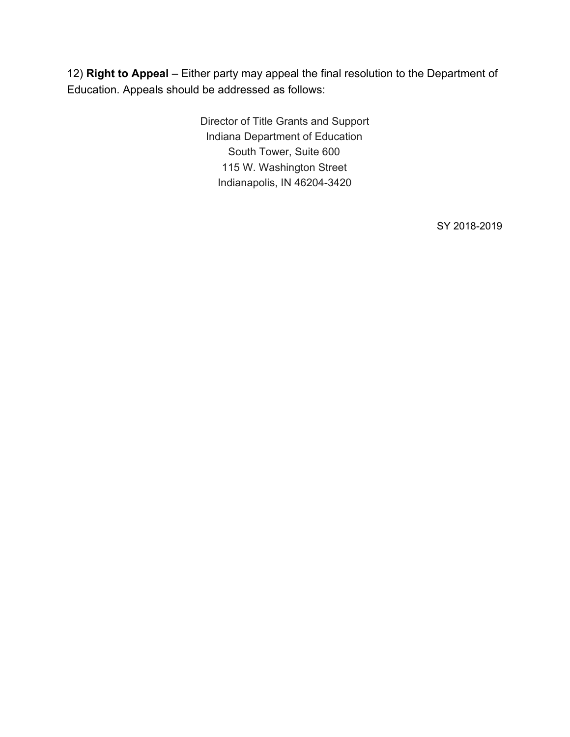12) **Right to Appeal** – Either party may appeal the final resolution to the Department of Education. Appeals should be addressed as follows:

> Director of Title Grants and Support Indiana Department of Education South Tower, Suite 600 115 W. Washington Street Indianapolis, IN 46204-3420

> > SY 2018-2019